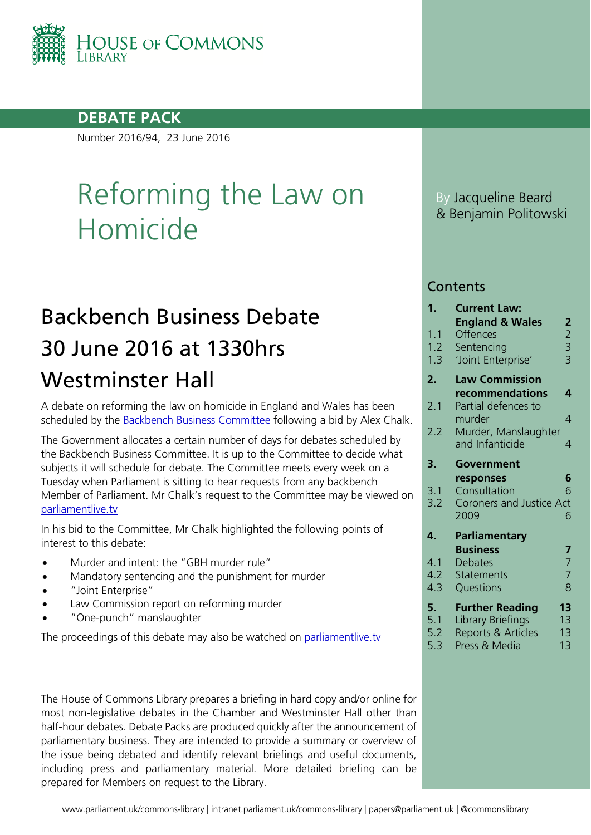

#### **DEBATE PACK**

Number 2016/94, 23 June 2016

# Reforming the Law on Homicide

# Backbench Business Debate 30 June 2016 at 1330hrs Westminster Hall

A debate on reforming the law on homicide in England and Wales has been scheduled by the [Backbench Business Committee](http://www.parliament.uk/business/committees/committees-a-z/commons-select/backbench-business-committee/news-parliament-2015/mps-debate-reforming-the-law-of-homicide/) following a bid by Alex Chalk.

The Government allocates a certain number of days for debates scheduled by the Backbench Business Committee. It is up to the Committee to decide what subjects it will schedule for debate. The Committee meets every week on a Tuesday when Parliament is sitting to hear requests from any backbench Member of Parliament. Mr Chalk's request to the Committee may be viewed on [parliamentlive.tv](http://parliamentlive.tv/event/index/b284a9a3-5e0a-4cd2-bad8-af32e632624e?in=15:11:56)

In his bid to the Committee, Mr Chalk highlighted the following points of interest to this debate:

- Murder and intent: the "GBH murder rule"
- Mandatory sentencing and the punishment for murder
- "Joint Enterprise"
- Law Commission report on reforming murder
- "One-punch" manslaughter

The proceedings of this debate may also be watched on [parliamentlive.tv](http://parliamentlive.tv/Event/Index/c736f562-9c32-429d-abbe-e5297ba6b467)

The House of Commons Library prepares a briefing in hard copy and/or online for most non-legislative debates in the Chamber and Westminster Hall other than half-hour debates. Debate Packs are produced quickly after the announcement of parliamentary business. They are intended to provide a summary or overview of the issue being debated and identify relevant briefings and useful documents, including press and parliamentary material. More detailed briefing can be prepared for Members on request to the Library.

By Jacqueline Beard & Benjamin Politowski

#### **Contents**

| 1.         | <b>Current Law:</b>             |                                            |
|------------|---------------------------------|--------------------------------------------|
|            | <b>England &amp; Wales</b>      | 2                                          |
| 1.1        | Offences                        | $\begin{array}{c} 2 \\ 3 \\ 3 \end{array}$ |
| 1.2<br>1.3 | Sentencing                      |                                            |
|            | 'Joint Enterprise'              |                                            |
| 2.         | <b>Law Commission</b>           |                                            |
|            | recommendations                 | 4                                          |
| 2.1        | Partial defences to             |                                            |
|            | murder                          | 4                                          |
| 2.2        | Murder, Manslaughter            |                                            |
|            | and Infanticide                 | 4                                          |
| 3.         | Government                      |                                            |
|            | responses                       | 6                                          |
| 3.1        | Consultation                    | 6                                          |
| 3.2        | <b>Coroners and Justice Act</b> |                                            |
|            | 2009                            | 6                                          |
| 4.         | Parliamentary                   |                                            |
|            | <b>Business</b>                 | 7                                          |
| 4.1        | <b>Debates</b>                  | $\overline{7}$                             |
| 4.2        | Statements                      | $\overline{7}$                             |
| 4.3        | Questions                       | 8                                          |
| 5.         | <b>Further Reading</b>          | 13                                         |
| 5.1        | Library Briefings               | 13                                         |
| 5.2        | Reports & Articles              | 13                                         |
| 5.3        | Press & Media                   | 1 <sub>3</sub>                             |
|            |                                 |                                            |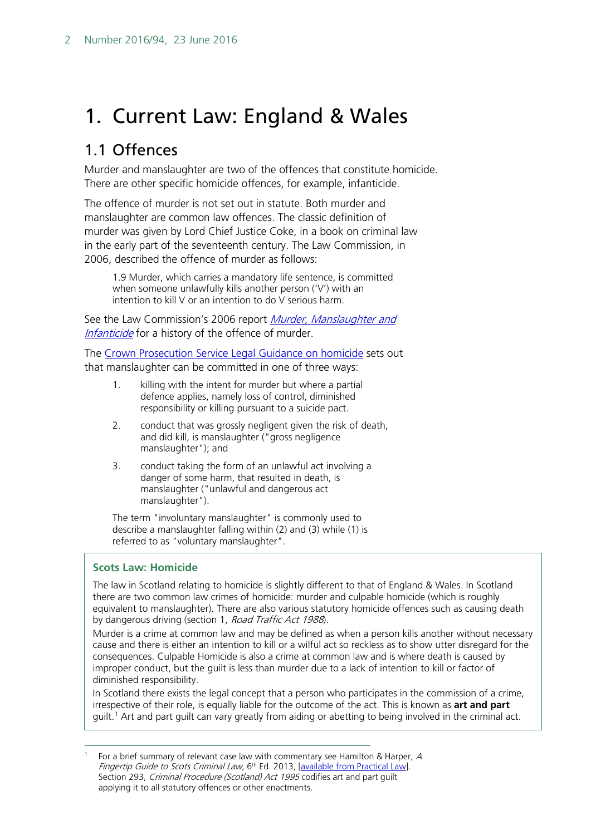# <span id="page-1-0"></span>1. Current Law: England & Wales

### <span id="page-1-1"></span>1.1 Offences

Murder and manslaughter are two of the offences that constitute homicide. There are other specific homicide offences, for example, infanticide.

The offence of murder is not set out in statute. Both murder and manslaughter are common law offences. The classic definition of murder was given by Lord Chief Justice Coke, in a book on criminal law in the early part of the seventeenth century. The Law Commission, in 2006, described the offence of murder as follows:

1.9 Murder, which carries a mandatory life sentence, is committed when someone unlawfully kills another person ('V') with an intention to kill V or an intention to do V serious harm.

See the Law Commission's 2006 report *Murder, Manslaughter and* [Infanticide](http://www.lawcom.gov.uk/wp-content/uploads/2015/03/lc304_Murder_Manslaughter_and_Infanticide_Report.pdf) for a history of the offence of murder.

The [Crown Prosecution Service Legal Guidance on homicide](http://www.cps.gov.uk/legal/h_to_k/homicide_murder_and_manslaughter/#definition) sets out that manslaughter can be committed in one of three ways:

- 1. killing with the intent for murder but where a partial defence applies, namely loss of control, diminished responsibility or killing pursuant to a suicide pact.
- 2. conduct that was grossly negligent given the risk of death, and did kill, is manslaughter ("gross negligence manslaughter"); and
- 3. conduct taking the form of an unlawful act involving a danger of some harm, that resulted in death, is manslaughter ("unlawful and dangerous act manslaughter").

The term "involuntary manslaughter" is commonly used to describe a manslaughter falling within (2) and (3) while (1) is referred to as "voluntary manslaughter".

#### **Scots Law: Homicide**

The law in Scotland relating to homicide is slightly different to that of England & Wales. In Scotland there are two common law crimes of homicide: murder and culpable homicide (which is roughly equivalent to manslaughter). There are also various statutory homicide offences such as causing death by dangerous driving (section 1, Road Traffic Act 1988).

Murder is a crime at common law and may be defined as when a person kills another without necessary cause and there is either an intention to kill or a wilful act so reckless as to show utter disregard for the consequences. Culpable Homicide is also a crime at common law and is where death is caused by improper conduct, but the guilt is less than murder due to a lack of intention to kill or factor of diminished responsibility.

In Scotland there exists the legal concept that a person who participates in the commission of a crime, irrespective of their role, is equally liable for the outcome of the act. This is known as **art and part** guilt.<sup>[1](#page-1-2)</sup> Art and part guilt can vary greatly from aiding or abetting to being involved in the criminal act.

<span id="page-1-2"></span>For a brief summary of relevant case law with commentary see Hamilton & Harper, A Fingertip Guide to Scots Criminal Law, 6<sup>th</sup> Ed. 2013, [\[available from Practical Law\]](http://uk.practicallaw.com/books/9781780432427/FTG-pt3#FTG-pt3-UID14). Section 293, Criminal Procedure (Scotland) Act 1995 codifies art and part guilt applying it to all statutory offences or other enactments.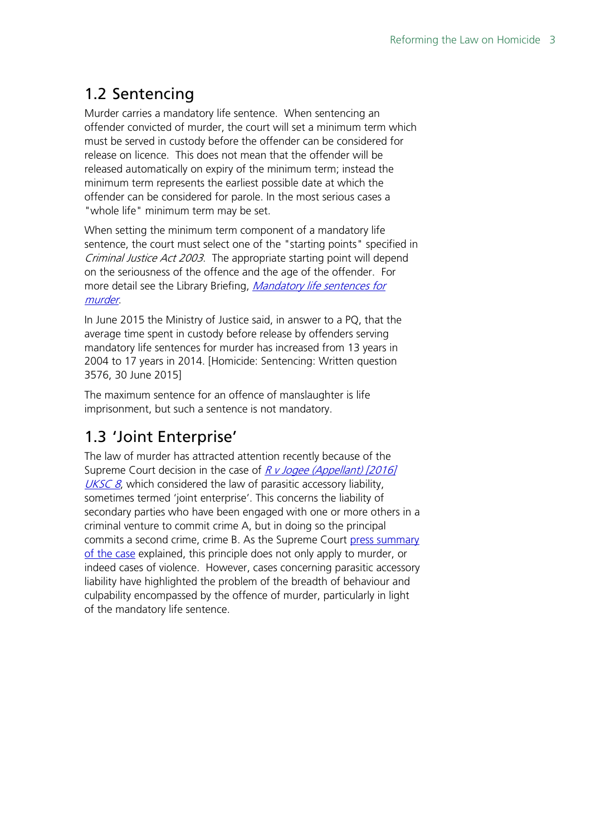## <span id="page-2-0"></span>1.2 Sentencing

Murder carries a mandatory life sentence. When sentencing an offender convicted of murder, the court will set a minimum term which must be served in custody before the offender can be considered for release on licence. This does not mean that the offender will be released automatically on expiry of the minimum term; instead the minimum term represents the earliest possible date at which the offender can be considered for parole. In the most serious cases a "whole life" minimum term may be set.

When setting the minimum term component of a mandatory life sentence, the court must select one of the "starting points" specified in Criminal Justice Act 2003. The appropriate starting point will depend on the seriousness of the offence and the age of the offender. For more detail see the Library Briefing, *Mandatory life sentences for* [murder](http://researchbriefings.parliament.uk/ResearchBriefing/Summary/SN03626).

In June 2015 the Ministry of Justice said, in answer to a PQ, that the average time spent in custody before release by offenders serving mandatory life sentences for murder has increased from 13 years in 2004 to 17 years in 2014. [Homicide: Sentencing: Written question 3576, 30 June 2015]

The maximum sentence for an offence of manslaughter is life imprisonment, but such a sentence is not mandatory.

## <span id="page-2-1"></span>1.3 'Joint Enterprise'

The law of murder has attracted attention recently because of the Supreme Court decision in the case of R v Jogee (Appellant) [2016] [UKSC 8](https://www.supremecourt.uk/cases/uksc-2015-0015.html), which considered the law of parasitic accessory liability, sometimes termed 'joint enterprise'. This concerns the liability of secondary parties who have been engaged with one or more others in a criminal venture to commit crime A, but in doing so the principal commits a second crime, crime B. As the Supreme Court [press summary](https://www.supremecourt.uk/cases/docs/uksc-2015-0015-press-summary.pdf)  [of the case](https://www.supremecourt.uk/cases/docs/uksc-2015-0015-press-summary.pdf) explained, this principle does not only apply to murder, or indeed cases of violence. However, cases concerning parasitic accessory liability have highlighted the problem of the breadth of behaviour and culpability encompassed by the offence of murder, particularly in light of the mandatory life sentence.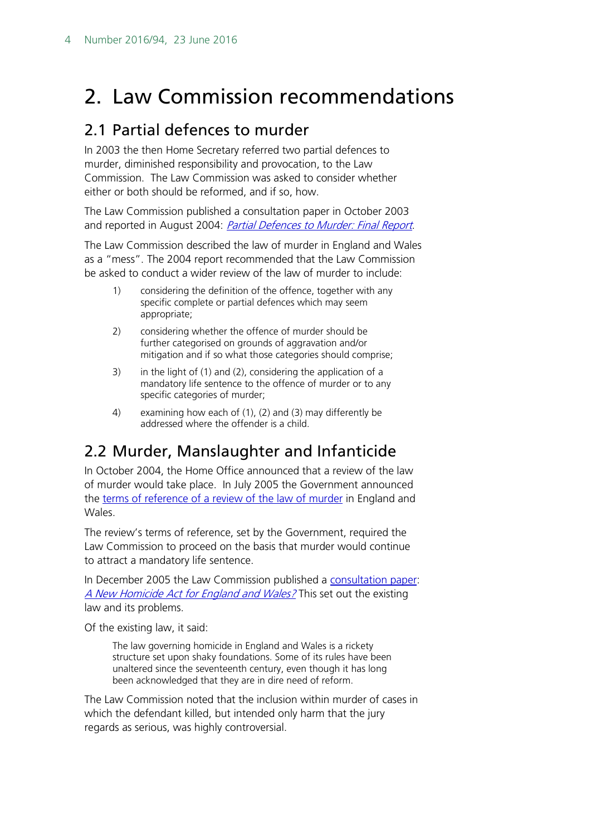# <span id="page-3-0"></span>2. Law Commission recommendations

### <span id="page-3-1"></span>2.1 Partial defences to murder

In 2003 the then Home Secretary referred two partial defences to murder, diminished responsibility and provocation, to the Law Commission. The Law Commission was asked to consider whether either or both should be reformed, and if so, how.

The Law Commission published a consultation paper in October 2003 and reported in August 2004: [Partial Defences to Murder: Final Report](http://www.lawcom.gov.uk/wp-content/uploads/2015/03/lc290_Partial_Defences_to_Murder.pdf).

The Law Commission described the law of murder in England and Wales as a "mess". The 2004 report recommended that the Law Commission be asked to conduct a wider review of the law of murder to include:

- 1) considering the definition of the offence, together with any specific complete or partial defences which may seem appropriate;
- 2) considering whether the offence of murder should be further categorised on grounds of aggravation and/or mitigation and if so what those categories should comprise;
- 3) in the light of (1) and (2), considering the application of a mandatory life sentence to the offence of murder or to any specific categories of murder;
- 4) examining how each of (1), (2) and (3) may differently be addressed where the offender is a child.

## <span id="page-3-2"></span>2.2 Murder, Manslaughter and Infanticide

In October 2004, the Home Office announced that a review of the law of murder would take place. In July 2005 the Government announced the [terms of reference of a review of the law of murder](http://www.lawcom.gov.uk/wp-content/uploads/2015/03/Review_of_Murder_Terms_of_Reference.pdf) in England and Wales.

The review's terms of reference, set by the Government, required the Law Commission to proceed on the basis that murder would continue to attract a mandatory life sentence.

In December 2005 the Law Commission published a [consultation paper:](http://www.lawcom.gov.uk/wp-content/uploads/2015/03/cp177_Murder_Manslaughter_and_Infanticide_consultation_.pdf) [A New Homicide Act for England and Wales?](http://www.lawcom.gov.uk/wp-content/uploads/2015/03/cp177_Murder_Manslaughter_and_Infanticide_consultation_.pdf) This set out the existing law and its problems.

Of the existing law, it said:

The law governing homicide in England and Wales is a rickety structure set upon shaky foundations. Some of its rules have been unaltered since the seventeenth century, even though it has long been acknowledged that they are in dire need of reform.

The Law Commission noted that the inclusion within murder of cases in which the defendant killed, but intended only harm that the jury regards as serious, was highly controversial.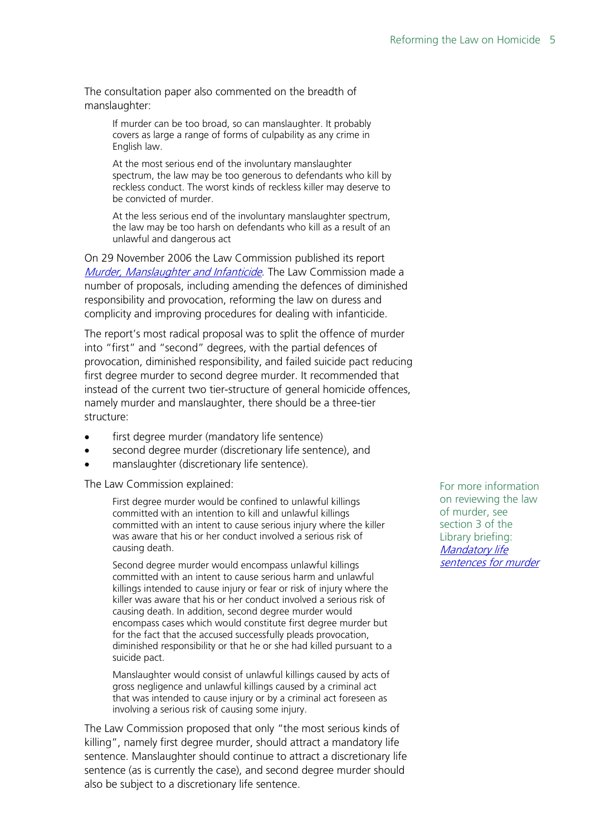The consultation paper also commented on the breadth of manslaughter:

> If murder can be too broad, so can manslaughter. It probably covers as large a range of forms of culpability as any crime in English law.

At the most serious end of the involuntary manslaughter spectrum, the law may be too generous to defendants who kill by reckless conduct. The worst kinds of reckless killer may deserve to be convicted of murder.

At the less serious end of the involuntary manslaughter spectrum, the law may be too harsh on defendants who kill as a result of an unlawful and dangerous act

On 29 November 2006 the Law Commission published its report [Murder, Manslaughter and Infanticide](http://www.lawcom.gov.uk/wp-content/uploads/2015/03/lc304_Murder_Manslaughter_and_Infanticide_Report.pdf). The Law Commission made a number of proposals, including amending the defences of diminished responsibility and provocation, reforming the law on duress and complicity and improving procedures for dealing with infanticide.

The report's most radical proposal was to split the offence of murder into "first" and "second" degrees, with the partial defences of provocation, diminished responsibility, and failed suicide pact reducing first degree murder to second degree murder. It recommended that instead of the current two tier-structure of general homicide offences, namely murder and manslaughter, there should be a three-tier structure:

- first degree murder (mandatory life sentence)
- second degree murder (discretionary life sentence), and
- manslaughter (discretionary life sentence).

The Law Commission explained:

First degree murder would be confined to unlawful killings committed with an intention to kill and unlawful killings committed with an intent to cause serious injury where the killer was aware that his or her conduct involved a serious risk of causing death.

Second degree murder would encompass unlawful killings committed with an intent to cause serious harm and unlawful killings intended to cause injury or fear or risk of injury where the killer was aware that his or her conduct involved a serious risk of causing death. In addition, second degree murder would encompass cases which would constitute first degree murder but for the fact that the accused successfully pleads provocation, diminished responsibility or that he or she had killed pursuant to a suicide pact.

Manslaughter would consist of unlawful killings caused by acts of gross negligence and unlawful killings caused by a criminal act that was intended to cause injury or by a criminal act foreseen as involving a serious risk of causing some injury.

The Law Commission proposed that only "the most serious kinds of killing", namely first degree murder, should attract a mandatory life sentence. Manslaughter should continue to attract a discretionary life sentence (as is currently the case), and second degree murder should also be subject to a discretionary life sentence.

For more information on reviewing the law of murder, see section 3 of the Library briefing: [Mandatory life](http://researchbriefings.parliament.uk/ResearchBriefing/Summary/SN03626)  [sentences for murder](http://researchbriefings.parliament.uk/ResearchBriefing/Summary/SN03626)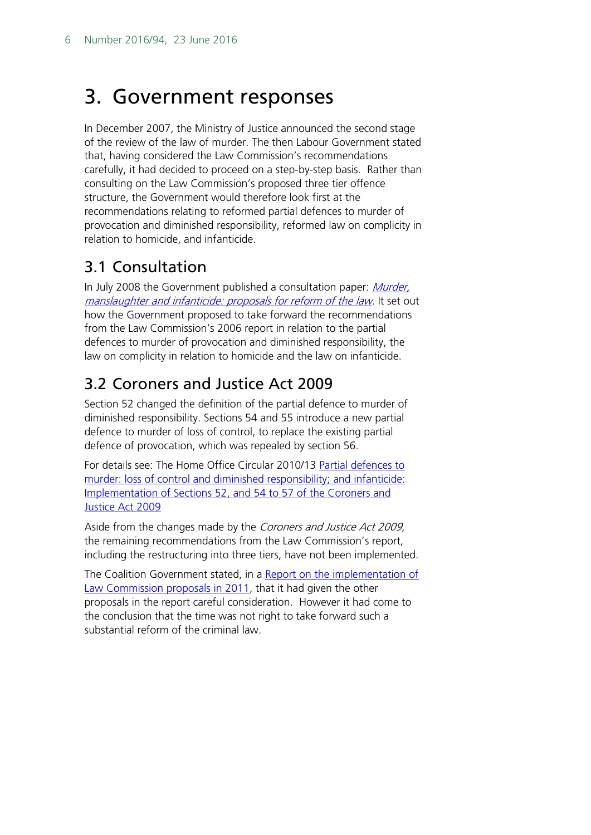# <span id="page-5-0"></span>3. Government responses

In December 2007, the Ministry of Justice announced the second stage of the review of the law of murder. The then Labour Government stated that, having considered the Law Commission's recommendations carefully, it had decided to proceed on a step-by-step basis. Rather than consulting on the Law Commission's proposed three tier offence structure, the Government would therefore look first at the recommendations relating to reformed partial defences to murder of provocation and diminished responsibility, reformed law on complicity in relation to homicide, and infanticide.

### <span id="page-5-1"></span>3.1 Consultation

In July 2008 the Government published a consultation paper: Murder, [manslaughter and infanticide: proposals for reform of the law](http://webarchive.nationalarchives.gov.uk/20100505212400/http:/www.justice.gov.uk/consultations/docs/murder-manslaughter-infanticide-consultation.pdf). It set out how the Government proposed to take forward the recommendations from the Law Commission's 2006 report in relation to the partial defences to murder of provocation and diminished responsibility, the law on complicity in relation to homicide and the law on infanticide.

## <span id="page-5-2"></span>3.2 Coroners and Justice Act 2009

Section 52 changed the definition of the partial defence to murder of diminished responsibility. Sections 54 and 55 introduce a new partial defence to murder of loss of control, to replace the existing partial defence of provocation, which was repealed by section 56.

For details see: The Home Office Circular 2010/13 [Partial defences to](http://www.justice.gov.uk/downloads/legislation/bills-acts/circulars/moj/2010/circular-12-2010-coroners-justice-act-homicide-provisions.pdf)  [murder: loss of control and diminished responsibility; and infanticide:](http://www.justice.gov.uk/downloads/legislation/bills-acts/circulars/moj/2010/circular-12-2010-coroners-justice-act-homicide-provisions.pdf)  [Implementation of Sections 52, and 54 to 57 of the Coroners and](http://www.justice.gov.uk/downloads/legislation/bills-acts/circulars/moj/2010/circular-12-2010-coroners-justice-act-homicide-provisions.pdf)  [Justice Act 2009](http://www.justice.gov.uk/downloads/legislation/bills-acts/circulars/moj/2010/circular-12-2010-coroners-justice-act-homicide-provisions.pdf)

Aside from the changes made by the Coroners and Justice Act 2009, the remaining recommendations from the Law Commission's report, including the restructuring into three tiers, have not been implemented.

The Coalition Government stated, in a Report on the implementation of [Law Commission proposals in 2011,](https://www.gov.uk/government/uploads/system/uploads/attachment_data/file/247518/0719.pdf) that it had given the other proposals in the report careful consideration. However it had come to the conclusion that the time was not right to take forward such a substantial reform of the criminal law.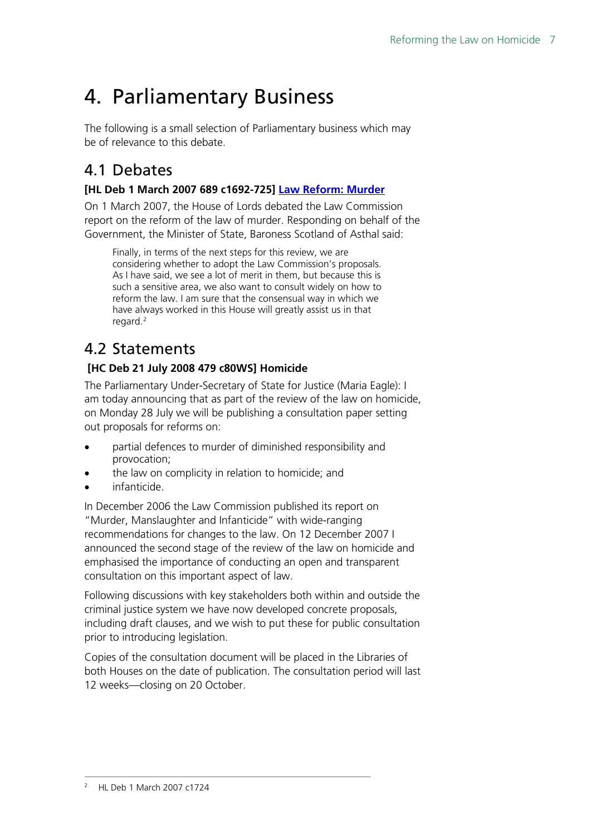# <span id="page-6-0"></span>4. Parliamentary Business

The following is a small selection of Parliamentary business which may be of relevance to this debate.

## <span id="page-6-1"></span>4.1 Debates

#### **[HL Deb 1 March 2007 689 c1692-725] [Law Reform: Murder](http://www.publications.parliament.uk/pa/ld200607/ldhansrd/text/70301-0008.htm#07030154000001)**

On 1 March 2007, the House of Lords debated the Law Commission report on the reform of the law of murder. Responding on behalf of the Government, the Minister of State, Baroness Scotland of Asthal said:

Finally, in terms of the next steps for this review, we are considering whether to adopt the Law Commission's proposals. As I have said, we see a lot of merit in them, but because this is such a sensitive area, we also want to consult widely on how to reform the law. I am sure that the consensual way in which we have always worked in this House will greatly assist us in that regard. $2$ 

## <span id="page-6-2"></span>4.2 Statements

#### **[HC Deb 21 July 2008 479 c80WS] Homicide**

The Parliamentary Under-Secretary of State for Justice (Maria Eagle): I am today announcing that as part of the review of the law on homicide, on Monday 28 July we will be publishing a consultation paper setting out proposals for reforms on:

- partial defences to murder of diminished responsibility and provocation;
- the law on complicity in relation to homicide; and
- infanticide.

In December 2006 the Law Commission published its report on "Murder, Manslaughter and Infanticide" with wide-ranging recommendations for changes to the law. On 12 December 2007 I announced the second stage of the review of the law on homicide and emphasised the importance of conducting an open and transparent consultation on this important aspect of law.

Following discussions with key stakeholders both within and outside the criminal justice system we have now developed concrete proposals, including draft clauses, and we wish to put these for public consultation prior to introducing legislation.

<span id="page-6-3"></span>Copies of the consultation document will be placed in the Libraries of both Houses on the date of publication. The consultation period will last 12 weeks—closing on 20 October.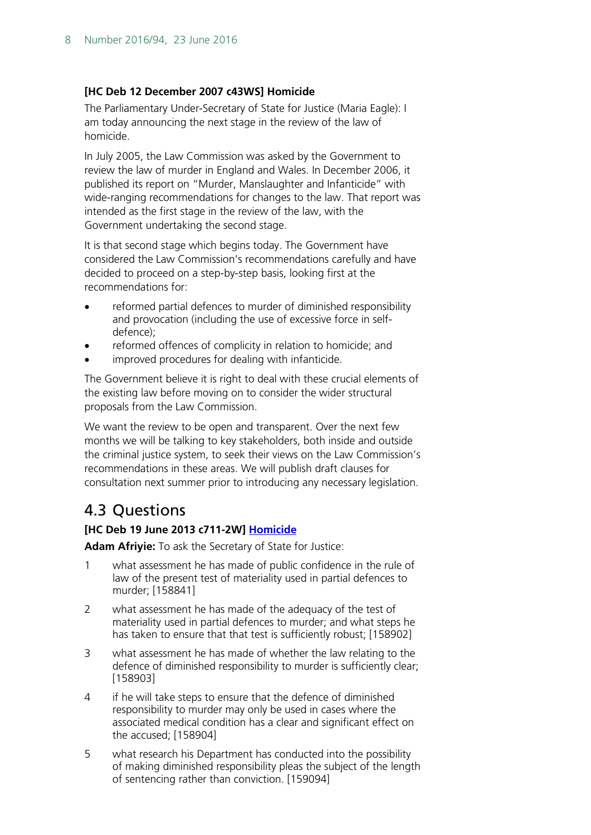#### **[HC Deb 12 December 2007 c43WS] Homicide**

The Parliamentary Under-Secretary of State for Justice (Maria Eagle): I am today announcing the next stage in the review of the law of homicide.

In July 2005, the Law Commission was asked by the Government to review the law of murder in England and Wales. In December 2006, it published its report on "Murder, Manslaughter and Infanticide" with wide-ranging recommendations for changes to the law. That report was intended as the first stage in the review of the law, with the Government undertaking the second stage.

It is that second stage which begins today. The Government have considered the Law Commission's recommendations carefully and have decided to proceed on a step-by-step basis, looking first at the recommendations for:

- reformed partial defences to murder of diminished responsibility and provocation (including the use of excessive force in selfdefence);
- reformed offences of complicity in relation to homicide; and
- improved procedures for dealing with infanticide.

The Government believe it is right to deal with these crucial elements of the existing law before moving on to consider the wider structural proposals from the Law Commission.

We want the review to be open and transparent. Over the next few months we will be talking to key stakeholders, both inside and outside the criminal justice system, to seek their views on the Law Commission's recommendations in these areas. We will publish draft clauses for consultation next summer prior to introducing any necessary legislation.

## <span id="page-7-0"></span>4.3 Questions

#### **[HC Deb 19 June 2013 c711-2W] [Homicide](http://www.publications.parliament.uk/pa/cm201314/cmhansrd/cm130619/text/130619w0002.htm#1306206001767)**

**Adam Afriyie:** To ask the Secretary of State for Justice:

- 1 what assessment he has made of public confidence in the rule of law of the present test of materiality used in partial defences to murder; [158841]
- 2 what assessment he has made of the adequacy of the test of materiality used in partial defences to murder; and what steps he has taken to ensure that that test is sufficiently robust; [158902]
- 3 what assessment he has made of whether the law relating to the defence of diminished responsibility to murder is sufficiently clear; [158903]
- 4 if he will take steps to ensure that the defence of diminished responsibility to murder may only be used in cases where the associated medical condition has a clear and significant effect on the accused; [158904]
- 5 what research his Department has conducted into the possibility of making diminished responsibility pleas the subject of the length of sentencing rather than conviction. [159094]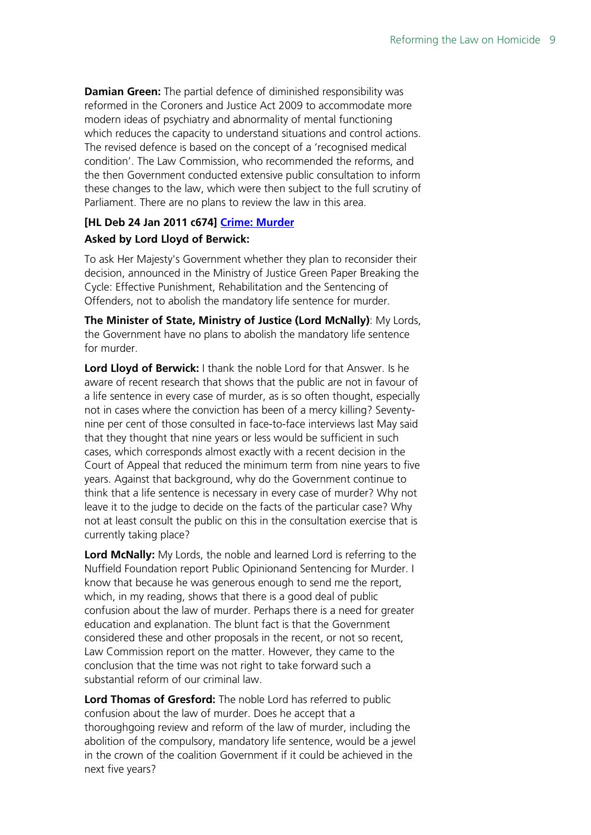**Damian Green:** The partial defence of diminished responsibility was reformed in the Coroners and Justice Act 2009 to accommodate more modern ideas of psychiatry and abnormality of mental functioning which reduces the capacity to understand situations and control actions. The revised defence is based on the concept of a 'recognised medical condition'. The Law Commission, who recommended the reforms, and the then Government conducted extensive public consultation to inform these changes to the law, which were then subject to the full scrutiny of Parliament. There are no plans to review the law in this area.

#### **[HL Deb 24 Jan 2011 c674] [Crime: Murder](http://www.publications.parliament.uk/pa/ld201011/ldhansrd/text/110124-0001.htm#1101246000027)**

#### **Asked by Lord Lloyd of Berwick:**

To ask Her Majesty's Government whether they plan to reconsider their decision, announced in the Ministry of Justice Green Paper Breaking the Cycle: Effective Punishment, Rehabilitation and the Sentencing of Offenders, not to abolish the mandatory life sentence for murder.

**The Minister of State, Ministry of Justice (Lord McNally)**: My Lords, the Government have no plans to abolish the mandatory life sentence for murder.

**Lord Lloyd of Berwick:** I thank the noble Lord for that Answer. Is he aware of recent research that shows that the public are not in favour of a life sentence in every case of murder, as is so often thought, especially not in cases where the conviction has been of a mercy killing? Seventynine per cent of those consulted in face-to-face interviews last May said that they thought that nine years or less would be sufficient in such cases, which corresponds almost exactly with a recent decision in the Court of Appeal that reduced the minimum term from nine years to five years. Against that background, why do the Government continue to think that a life sentence is necessary in every case of murder? Why not leave it to the judge to decide on the facts of the particular case? Why not at least consult the public on this in the consultation exercise that is currently taking place?

**Lord McNally:** My Lords, the noble and learned Lord is referring to the Nuffield Foundation report Public Opinionand Sentencing for Murder. I know that because he was generous enough to send me the report, which, in my reading, shows that there is a good deal of public confusion about the law of murder. Perhaps there is a need for greater education and explanation. The blunt fact is that the Government considered these and other proposals in the recent, or not so recent, Law Commission report on the matter. However, they came to the conclusion that the time was not right to take forward such a substantial reform of our criminal law.

**Lord Thomas of Gresford:** The noble Lord has referred to public confusion about the law of murder. Does he accept that a thoroughgoing review and reform of the law of murder, including the abolition of the compulsory, mandatory life sentence, would be a jewel in the crown of the coalition Government if it could be achieved in the next five years?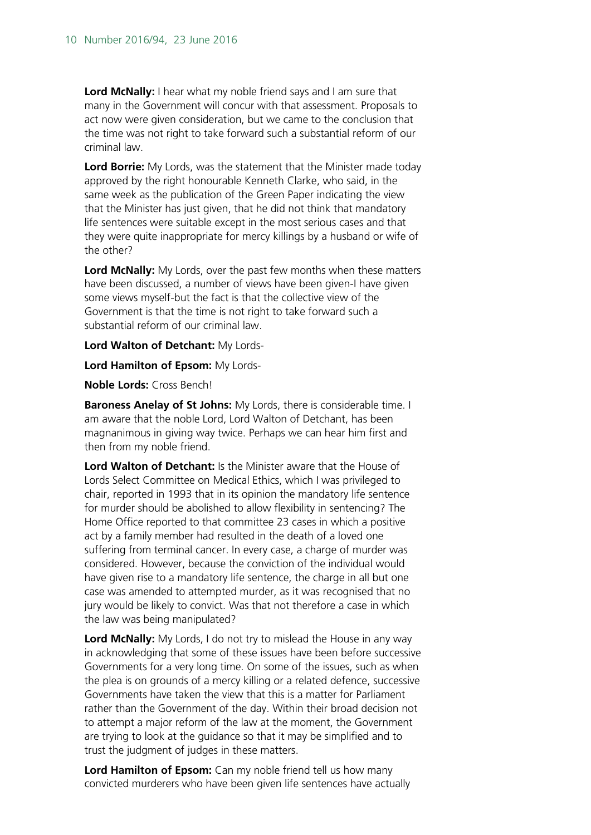**Lord McNally:** I hear what my noble friend says and I am sure that many in the Government will concur with that assessment. Proposals to act now were given consideration, but we came to the conclusion that the time was not right to take forward such a substantial reform of our criminal law.

**Lord Borrie:** My Lords, was the statement that the Minister made today approved by the right honourable Kenneth Clarke, who said, in the same week as the publication of the Green Paper indicating the view that the Minister has just given, that he did not think that mandatory life sentences were suitable except in the most serious cases and that they were quite inappropriate for mercy killings by a husband or wife of the other?

**Lord McNally:** My Lords, over the past few months when these matters have been discussed, a number of views have been given-I have given some views myself-but the fact is that the collective view of the Government is that the time is not right to take forward such a substantial reform of our criminal law.

**Lord Walton of Detchant:** My Lords-

**Lord Hamilton of Epsom:** My Lords-

**Noble Lords:** Cross Bench!

**Baroness Anelay of St Johns:** My Lords, there is considerable time. I am aware that the noble Lord, Lord Walton of Detchant, has been magnanimous in giving way twice. Perhaps we can hear him first and then from my noble friend.

**Lord Walton of Detchant:** Is the Minister aware that the House of Lords Select Committee on Medical Ethics, which I was privileged to chair, reported in 1993 that in its opinion the mandatory life sentence for murder should be abolished to allow flexibility in sentencing? The Home Office reported to that committee 23 cases in which a positive act by a family member had resulted in the death of a loved one suffering from terminal cancer. In every case, a charge of murder was considered. However, because the conviction of the individual would have given rise to a mandatory life sentence, the charge in all but one case was amended to attempted murder, as it was recognised that no jury would be likely to convict. Was that not therefore a case in which the law was being manipulated?

**Lord McNally:** My Lords, I do not try to mislead the House in any way in acknowledging that some of these issues have been before successive Governments for a very long time. On some of the issues, such as when the plea is on grounds of a mercy killing or a related defence, successive Governments have taken the view that this is a matter for Parliament rather than the Government of the day. Within their broad decision not to attempt a major reform of the law at the moment, the Government are trying to look at the guidance so that it may be simplified and to trust the judgment of judges in these matters.

**Lord Hamilton of Epsom:** Can my noble friend tell us how many convicted murderers who have been given life sentences have actually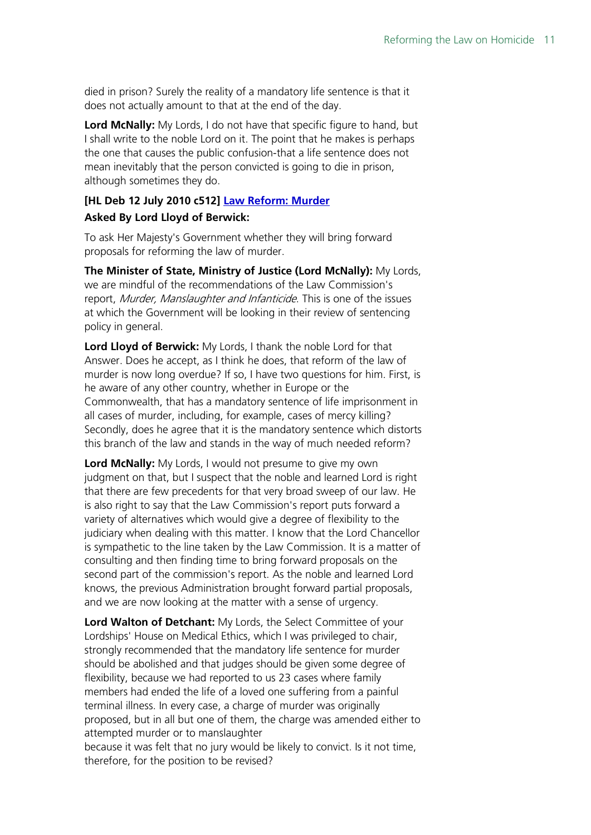died in prison? Surely the reality of a mandatory life sentence is that it does not actually amount to that at the end of the day.

**Lord McNally:** My Lords, I do not have that specific figure to hand, but I shall write to the noble Lord on it. The point that he makes is perhaps the one that causes the public confusion-that a life sentence does not mean inevitably that the person convicted is going to die in prison, although sometimes they do.

#### **[HL Deb 12 July 2010 c512] [Law Reform: Murder](http://www.publications.parliament.uk/pa/ld201011/ldhansrd/text/100712-0001.htm#1007125000304)**

#### **Asked By Lord Lloyd of Berwick:**

To ask Her Majesty's Government whether they will bring forward proposals for reforming the law of murder.

**The Minister of State, Ministry of Justice (Lord McNally):** My Lords, we are mindful of the recommendations of the Law Commission's report, Murder, Manslaughter and Infanticide. This is one of the issues at which the Government will be looking in their review of sentencing policy in general.

**Lord Lloyd of Berwick:** My Lords, I thank the noble Lord for that Answer. Does he accept, as I think he does, that reform of the law of murder is now long overdue? If so, I have two questions for him. First, is he aware of any other country, whether in Europe or the Commonwealth, that has a mandatory sentence of life imprisonment in all cases of murder, including, for example, cases of mercy killing? Secondly, does he agree that it is the mandatory sentence which distorts this branch of the law and stands in the way of much needed reform?

**Lord McNally:** My Lords, I would not presume to give my own judgment on that, but I suspect that the noble and learned Lord is right that there are few precedents for that very broad sweep of our law. He is also right to say that the Law Commission's report puts forward a variety of alternatives which would give a degree of flexibility to the judiciary when dealing with this matter. I know that the Lord Chancellor is sympathetic to the line taken by the Law Commission. It is a matter of consulting and then finding time to bring forward proposals on the second part of the commission's report. As the noble and learned Lord knows, the previous Administration brought forward partial proposals, and we are now looking at the matter with a sense of urgency.

**Lord Walton of Detchant:** My Lords, the Select Committee of your Lordships' House on Medical Ethics, which I was privileged to chair, strongly recommended that the mandatory life sentence for murder should be abolished and that judges should be given some degree of flexibility, because we had reported to us 23 cases where family members had ended the life of a loved one suffering from a painful terminal illness. In every case, a charge of murder was originally proposed, but in all but one of them, the charge was amended either to attempted murder or to manslaughter because it was felt that no jury would be likely to convict. Is it not time,

therefore, for the position to be revised?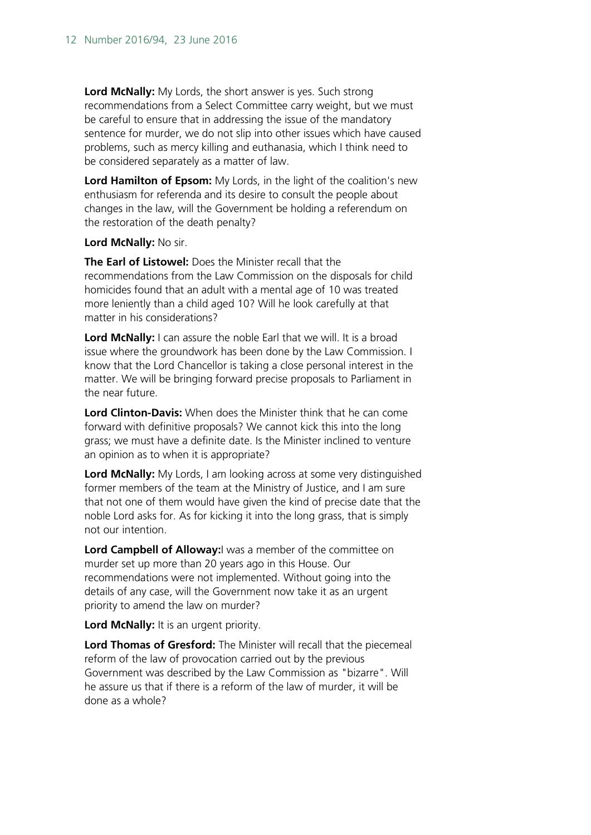**Lord McNally:** My Lords, the short answer is yes. Such strong recommendations from a Select Committee carry weight, but we must be careful to ensure that in addressing the issue of the mandatory sentence for murder, we do not slip into other issues which have caused problems, such as mercy killing and euthanasia, which I think need to be considered separately as a matter of law.

**Lord Hamilton of Epsom:** My Lords, in the light of the coalition's new enthusiasm for referenda and its desire to consult the people about changes in the law, will the Government be holding a referendum on the restoration of the death penalty?

**Lord McNally:** No sir.

**The Earl of Listowel:** Does the Minister recall that the recommendations from the Law Commission on the disposals for child homicides found that an adult with a mental age of 10 was treated more leniently than a child aged 10? Will he look carefully at that matter in his considerations?

Lord McNally: I can assure the noble Earl that we will. It is a broad issue where the groundwork has been done by the Law Commission. I know that the Lord Chancellor is taking a close personal interest in the matter. We will be bringing forward precise proposals to Parliament in the near future.

**Lord Clinton-Davis:** When does the Minister think that he can come forward with definitive proposals? We cannot kick this into the long grass; we must have a definite date. Is the Minister inclined to venture an opinion as to when it is appropriate?

**Lord McNally:** My Lords, I am looking across at some very distinguished former members of the team at the Ministry of Justice, and I am sure that not one of them would have given the kind of precise date that the noble Lord asks for. As for kicking it into the long grass, that is simply not our intention.

**Lord Campbell of Alloway:**I was a member of the committee on murder set up more than 20 years ago in this House. Our recommendations were not implemented. Without going into the details of any case, will the Government now take it as an urgent priority to amend the law on murder?

**Lord McNally:** It is an urgent priority.

**Lord Thomas of Gresford:** The Minister will recall that the piecemeal reform of the law of provocation carried out by the previous Government was described by the Law Commission as "bizarre". Will he assure us that if there is a reform of the law of murder, it will be done as a whole?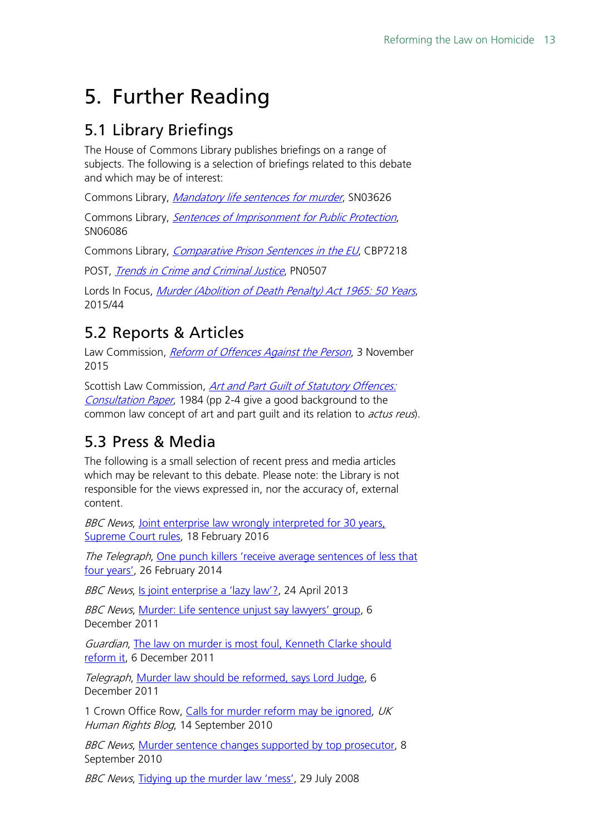# <span id="page-12-0"></span>5. Further Reading

### <span id="page-12-1"></span>5.1 Library Briefings

The House of Commons Library publishes briefings on a range of subjects. The following is a selection of briefings related to this debate and which may be of interest:

Commons Library, [Mandatory life sentences for murder](http://researchbriefings.parliament.uk/ResearchBriefing/Summary/SN03626), SN03626

Commons Library, [Sentences of Imprisonment for Public Protection](http://researchbriefings.parliament.uk/ResearchBriefing/Summary/SN06086), SN06086

Commons Library, [Comparative Prison Sentences in the EU](http://researchbriefings.parliament.uk/ResearchBriefing/Summary/CBP-7218), CBP7218

POST, [Trends in Crime and Criminal Justice](http://researchbriefings.parliament.uk/ResearchBriefing/Summary/POST-PN-0507), PN0507

Lords In Focus, [Murder \(Abolition of Death Penalty\) Act 1965: 50 Years](http://researchbriefings.parliament.uk/ResearchBriefing/Summary/LIF-2015-0044), 2015/44

### <span id="page-12-2"></span>5.2 Reports & Articles

Law Commission, *[Reform of Offences Against the Person](https://www.gov.uk/government/publications/reform-of-offences-against-the-person)*, 3 November 2015

Scottish Law Commission, Art and Part Guilt of Statutory Offences: [Consultation Paper](http://www.scotlawcom.gov.uk/files/8913/1737/9658/ART_AND_PART_GUILT_OF_STATUTORY_OFFENCES.pdf), 1984 (pp 2-4 give a good background to the common law concept of art and part quilt and its relation to *actus reus*).

## <span id="page-12-3"></span>5.3 Press & Media

The following is a small selection of recent press and media articles which may be relevant to this debate. Please note: the Library is not responsible for the views expressed in, nor the accuracy of, external content.

BBC News, Joint enterprise law wrongly interpreted for 30 years, [Supreme Court rules,](http://www.bbc.co.uk/news/uk-35598896) 18 February 2016

The Telegraph, One punch killers 'receive average sentences of less that [four years',](http://www.telegraph.co.uk/news/uknews/crime/10663783/One-punch-killers-receive-average-sentences-of-less-than-four-years.html) 26 February 2014

BBC News, [Is joint enterprise a 'lazy law'?,](http://www.bbc.co.uk/news/uk-15299605) 24 April 2013

BBC News, [Murder: Life sentence unjust say lawyers' group,](http://www.bbc.co.uk/news/uk-16044145) 6 December 2011

Guardian, The law on murder is most foul, Kenneth Clarke should [reform it,](http://www.theguardian.com/commentisfree/2011/dec/06/kenneth-clarke-murder-law-reform) 6 December 2011

Telegraph, [Murder law should be reformed, says Lord Judge,](http://www.telegraph.co.uk/news/uknews/law-and-order/8938081/Murder-law-should-be-reformed-says-Lord-Judge.html) 6 December 2011

1 Crown Office Row, [Calls for murder reform may be ignored,](https://ukhumanrightsblog.com/2010/09/14/calls-for-murder-law-reform-may-be-ignored/) UK Human Rights Blog, 14 September 2010

BBC News, [Murder sentence changes supported by top prosecutor,](http://www.bbc.co.uk/news/uk-11224583) 8 September 2010

BBC News, [Tidying up the murder law 'mess',](http://news.bbc.co.uk/1/hi/uk/7530186.stm) 29 July 2008